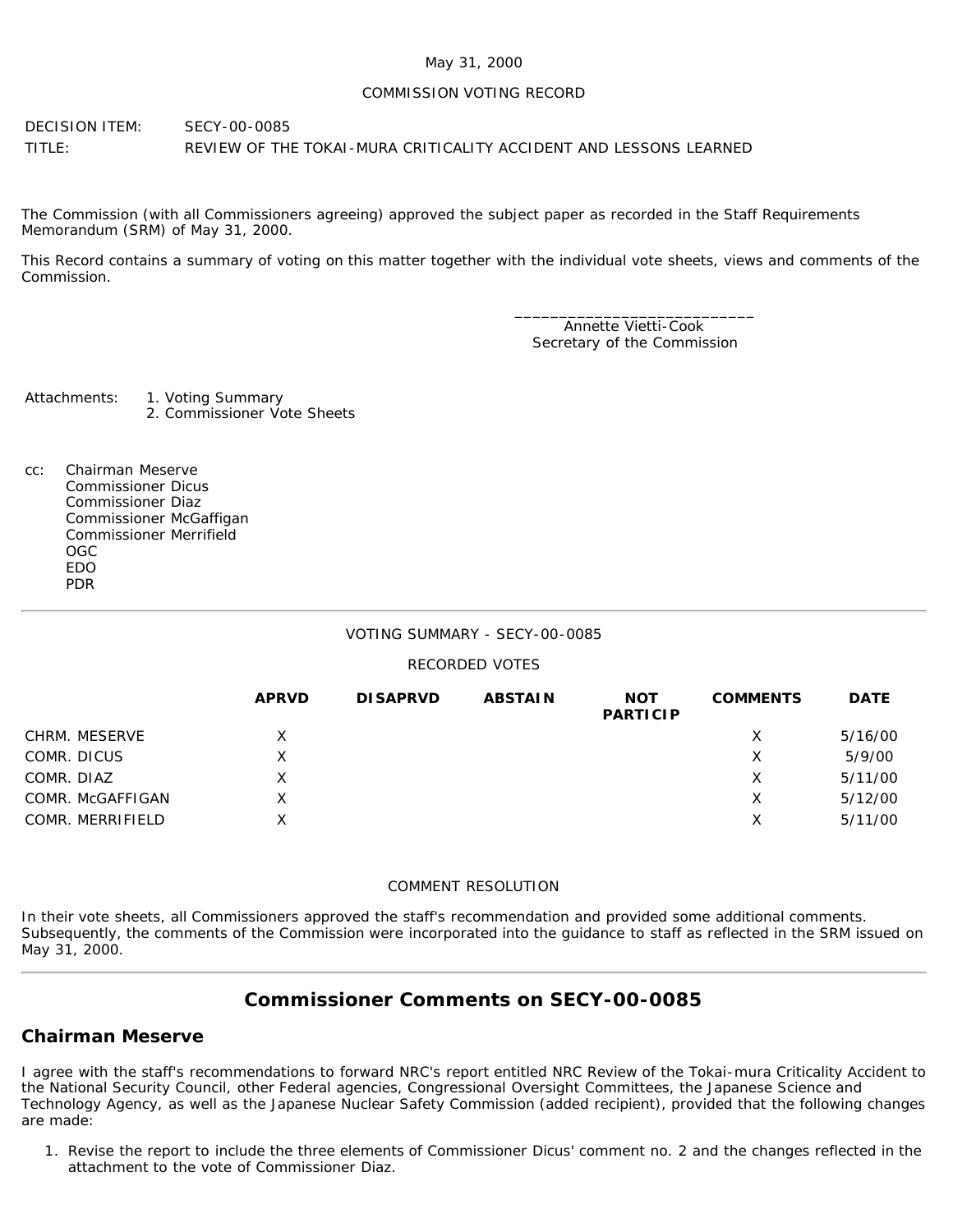### May 31, 2000

### COMMISSION VOTING RECORD

DECISION ITEM: SECY-00-0085 TITLE: REVIEW OF THE TOKAI-MURA CRITICALITY ACCIDENT AND LESSONS LEARNED

The Commission (with all Commissioners agreeing) approved the subject paper as recorded in the Staff Requirements Memorandum (SRM) of May 31, 2000.

This Record contains a summary of voting on this matter together with the individual vote sheets, views and comments of the Commission.

> \_\_\_\_\_\_\_\_\_\_\_\_\_\_\_\_\_\_\_\_\_\_\_\_\_\_\_ Annette Vietti-Cook Secretary of the Commission

Attachments: 1. Voting Summary 2. Commissioner Vote Sheets

cc: Chairman Meserve Commissioner Dicus Commissioner Diaz Commissioner McGaffigan Commissioner Merrifield OGC EDO PDR

### VOTING SUMMARY - SECY-00-0085

### RECORDED VOTES

|                  | <b>APRVD</b> | <b>DISAPRVD</b> | <b>ABSTAIN</b> | <b>NOT</b><br><b>PARTICIP</b> | <b>COMMENTS</b> | <b>DATE</b> |
|------------------|--------------|-----------------|----------------|-------------------------------|-----------------|-------------|
| CHRM. MESERVE    | X.           |                 |                |                               | Х               | 5/16/00     |
| COMR. DICUS      | х            |                 |                |                               | Х               | 5/9/00      |
| COMR. DIAZ       | X            |                 |                |                               | Х               | 5/11/00     |
| COMR. McGAFFIGAN | х            |                 |                |                               | Х               | 5/12/00     |
| COMR. MERRIFIELD | X            |                 |                |                               | X               | 5/11/00     |

### COMMENT RESOLUTION

In their vote sheets, all Commissioners approved the staff's recommendation and provided some additional comments. Subsequently, the comments of the Commission were incorporated into the guidance to staff as reflected in the SRM issued on May 31, 2000.

# **Commissioner Comments on SECY-00-0085**

### **Chairman Meserve**

I agree with the staff's recommendations to forward NRC's report entitled *NRC Review of the Tokai-mura Criticality Accident* to the National Security Council, other Federal agencies, Congressional Oversight Committees, the Japanese Science and Technology Agency, as well as the Japanese Nuclear Safety Commission (added recipient), provided that the following changes are made:

1. Revise the report to include the three elements of Commissioner Dicus' comment no. 2 and the changes reflected in the attachment to the vote of Commissioner Diaz.